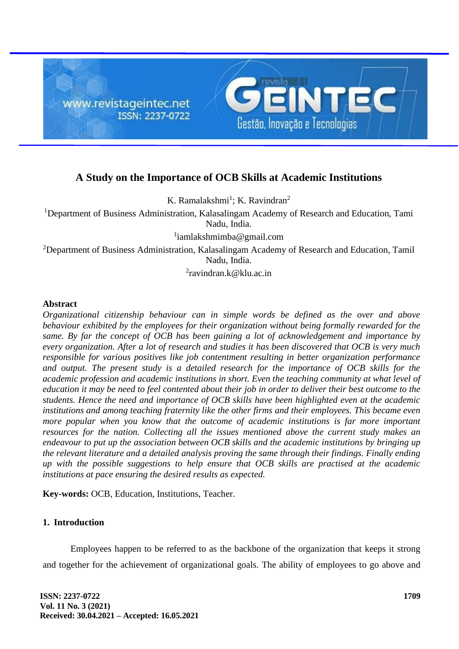

# **A Study on the Importance of OCB Skills at Academic Institutions**

K. Ramalakshmi<sup>1</sup>; K. Ravindran<sup>2</sup>

<sup>1</sup>Department of Business Administration, Kalasalingam Academy of Research and Education, Tami Nadu, India.

1 iamlakshmimba@gmail.com

<sup>2</sup>Department of Business Administration, Kalasalingam Academy of Research and Education, Tamil Nadu, India.

<sup>2</sup>ravindran.k@klu.ac.in

#### **Abstract**

*Organizational citizenship behaviour can in simple words be defined as the over and above behaviour exhibited by the employees for their organization without being formally rewarded for the same. By far the concept of OCB has been gaining a lot of acknowledgement and importance by every organization. After a lot of research and studies it has been discovered that OCB is very much responsible for various positives like job contentment resulting in better organization performance and output. The present study is a detailed research for the importance of OCB skills for the academic profession and academic institutions in short. Even the teaching community at what level of education it may be need to feel contented about their job in order to deliver their best outcome to the students. Hence the need and importance of OCB skills have been highlighted even at the academic institutions and among teaching fraternity like the other firms and their employees. This became even more popular when you know that the outcome of academic institutions is far more important resources for the nation. Collecting all the issues mentioned above the current study makes an endeavour to put up the association between OCB skills and the academic institutions by bringing up the relevant literature and a detailed analysis proving the same through their findings. Finally ending up with the possible suggestions to help ensure that OCB skills are practised at the academic institutions at pace ensuring the desired results as expected.*

**Key-words:** OCB, Education, Institutions, Teacher.

# **1. Introduction**

Employees happen to be referred to as the backbone of the organization that keeps it strong and together for the achievement of organizational goals. The ability of employees to go above and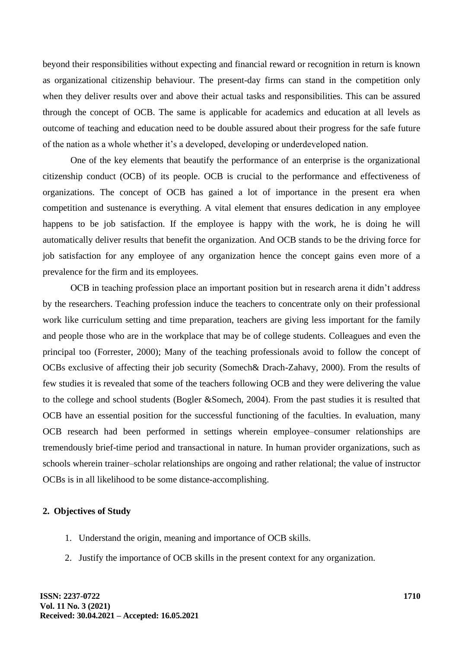beyond their responsibilities without expecting and financial reward or recognition in return is known as organizational citizenship behaviour. The present-day firms can stand in the competition only when they deliver results over and above their actual tasks and responsibilities. This can be assured through the concept of OCB. The same is applicable for academics and education at all levels as outcome of teaching and education need to be double assured about their progress for the safe future of the nation as a whole whether it's a developed, developing or underdeveloped nation.

One of the key elements that beautify the performance of an enterprise is the organizational citizenship conduct (OCB) of its people. OCB is crucial to the performance and effectiveness of organizations. The concept of OCB has gained a lot of importance in the present era when competition and sustenance is everything. A vital element that ensures dedication in any employee happens to be job satisfaction. If the employee is happy with the work, he is doing he will automatically deliver results that benefit the organization. And OCB stands to be the driving force for job satisfaction for any employee of any organization hence the concept gains even more of a prevalence for the firm and its employees.

OCB in teaching profession place an important position but in research arena it didn't address by the researchers. Teaching profession induce the teachers to concentrate only on their professional work like curriculum setting and time preparation, teachers are giving less important for the family and people those who are in the workplace that may be of college students. Colleagues and even the principal too (Forrester, 2000); Many of the teaching professionals avoid to follow the concept of OCBs exclusive of affecting their job security (Somech& Drach-Zahavy, 2000). From the results of few studies it is revealed that some of the teachers following OCB and they were delivering the value to the college and school students (Bogler &Somech, 2004). From the past studies it is resulted that OCB have an essential position for the successful functioning of the faculties. In evaluation, many OCB research had been performed in settings wherein employee–consumer relationships are tremendously brief-time period and transactional in nature. In human provider organizations, such as schools wherein trainer–scholar relationships are ongoing and rather relational; the value of instructor OCBs is in all likelihood to be some distance-accomplishing.

# **2. Objectives of Study**

- 1. Understand the origin, meaning and importance of OCB skills.
- 2. Justify the importance of OCB skills in the present context for any organization.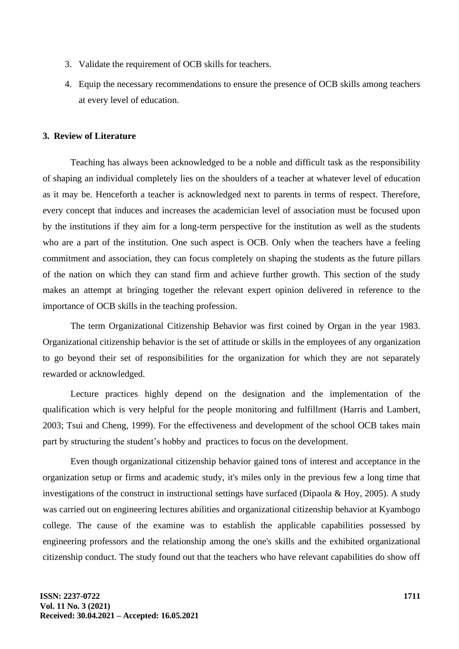- 3. Validate the requirement of OCB skills for teachers.
- 4. Equip the necessary recommendations to ensure the presence of OCB skills among teachers at every level of education.

# **3. Review of Literature**

Teaching has always been acknowledged to be a noble and difficult task as the responsibility of shaping an individual completely lies on the shoulders of a teacher at whatever level of education as it may be. Henceforth a teacher is acknowledged next to parents in terms of respect. Therefore, every concept that induces and increases the academician level of association must be focused upon by the institutions if they aim for a long-term perspective for the institution as well as the students who are a part of the institution. One such aspect is OCB. Only when the teachers have a feeling commitment and association, they can focus completely on shaping the students as the future pillars of the nation on which they can stand firm and achieve further growth. This section of the study makes an attempt at bringing together the relevant expert opinion delivered in reference to the importance of OCB skills in the teaching profession.

The term Organizational Citizenship Behavior was first coined by Organ in the year 1983. Organizational citizenship behavior is the set of attitude or skills in the employees of any organization to go beyond their set of responsibilities for the organization for which they are not separately rewarded or acknowledged.

Lecture practices highly depend on the designation and the implementation of the qualification which is very helpful for the people monitoring and fulfillment (Harris and Lambert, 2003; Tsui and Cheng, 1999). For the effectiveness and development of the school OCB takes main part by structuring the student's hobby and practices to focus on the development.

Even though organizational citizenship behavior gained tons of interest and acceptance in the organization setup or firms and academic study, it's miles only in the previous few a long time that investigations of the construct in instructional settings have surfaced (Dipaola & Hoy, 2005). A study was carried out on engineering lectures abilities and organizational citizenship behavior at Kyambogo college. The cause of the examine was to establish the applicable capabilities possessed by engineering professors and the relationship among the one's skills and the exhibited organizational citizenship conduct. The study found out that the teachers who have relevant capabilities do show off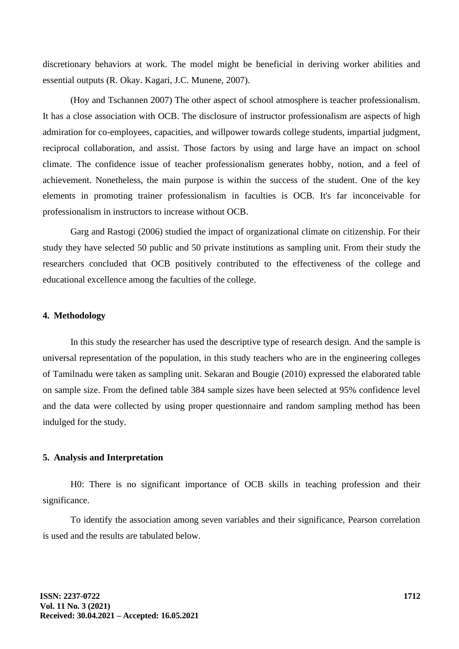discretionary behaviors at work. The model might be beneficial in deriving worker abilities and essential outputs (R. Okay. Kagari, J.C. Munene, 2007).

(Hoy and Tschannen 2007) The other aspect of school atmosphere is teacher professionalism. It has a close association with OCB. The disclosure of instructor professionalism are aspects of high admiration for co-employees, capacities, and willpower towards college students, impartial judgment, reciprocal collaboration, and assist. Those factors by using and large have an impact on school climate. The confidence issue of teacher professionalism generates hobby, notion, and a feel of achievement. Nonetheless, the main purpose is within the success of the student. One of the key elements in promoting trainer professionalism in faculties is OCB. It's far inconceivable for professionalism in instructors to increase without OCB.

Garg and Rastogi (2006) studied the impact of organizational climate on citizenship. For their study they have selected 50 public and 50 private institutions as sampling unit. From their study the researchers concluded that OCB positively contributed to the effectiveness of the college and educational excellence among the faculties of the college.

# **4. Methodology**

In this study the researcher has used the descriptive type of research design. And the sample is universal representation of the population, in this study teachers who are in the engineering colleges of Tamilnadu were taken as sampling unit. Sekaran and Bougie (2010) expressed the elaborated table on sample size. From the defined table 384 sample sizes have been selected at 95% confidence level and the data were collected by using proper questionnaire and random sampling method has been indulged for the study.

#### **5. Analysis and Interpretation**

H0: There is no significant importance of OCB skills in teaching profession and their significance.

To identify the association among seven variables and their significance, Pearson correlation is used and the results are tabulated below.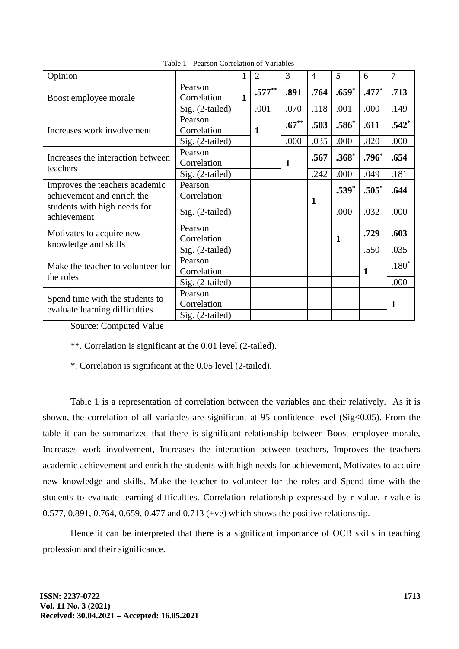| Opinion                                                                                                     |                 | 1            | $\overline{2}$ | 3           | $\overline{4}$ | 5            | 6       | 7       |
|-------------------------------------------------------------------------------------------------------------|-----------------|--------------|----------------|-------------|----------------|--------------|---------|---------|
| Boost employee morale                                                                                       | Pearson         | $\mathbf{1}$ | $.577**$       | .891        | .764           | $.659*$      | $.477*$ | .713    |
|                                                                                                             | Correlation     |              |                |             |                |              |         |         |
|                                                                                                             | Sig. (2-tailed) |              | .001           | .070        | .118           | .001         | .000    | .149    |
| Increases work involvement                                                                                  | Pearson         |              |                | $.67***$    | .503           | $.586*$      | .611    | $.542*$ |
|                                                                                                             | Correlation     |              | 1              |             |                |              |         |         |
|                                                                                                             | Sig. (2-tailed) |              |                | .000        | .035           | .000         | .820    | .000    |
| Increases the interaction between<br>teachers                                                               | Pearson         |              |                | $\mathbf 1$ | .567           | $.368*$      | $.796*$ | .654    |
|                                                                                                             | Correlation     |              |                |             |                |              |         |         |
|                                                                                                             | Sig. (2-tailed) |              |                |             | .242           | .000         | .049    | .181    |
| Improves the teachers academic<br>achievement and enrich the<br>students with high needs for<br>achievement | Pearson         |              |                |             | 1              | $.539*$      | $.505*$ | .644    |
|                                                                                                             | Correlation     |              |                |             |                |              |         |         |
|                                                                                                             | Sig. (2-tailed) |              |                |             |                | .000         | .032    | .000    |
| Motivates to acquire new<br>knowledge and skills                                                            | Pearson         |              |                |             |                | $\mathbf{1}$ | .729    | .603    |
|                                                                                                             | Correlation     |              |                |             |                |              |         |         |
|                                                                                                             | Sig. (2-tailed) |              |                |             |                |              | .550    | .035    |
| Make the teacher to volunteer for<br>the roles                                                              | Pearson         |              |                |             |                |              |         | $.180*$ |
|                                                                                                             | Correlation     |              |                |             |                |              | 1       |         |
|                                                                                                             | Sig. (2-tailed) |              |                |             |                |              |         | .000    |
| Spend time with the students to<br>evaluate learning difficulties                                           | Pearson         |              |                |             |                |              |         |         |
|                                                                                                             | Correlation     |              |                |             |                |              |         | 1       |
|                                                                                                             | Sig. (2-tailed) |              |                |             |                |              |         |         |

Table 1 - Pearson Correlation of Variables

Source: Computed Value

\*\*. Correlation is significant at the 0.01 level (2-tailed).

\*. Correlation is significant at the 0.05 level (2-tailed).

Table 1 is a representation of correlation between the variables and their relatively. As it is shown, the correlation of all variables are significant at 95 confidence level (Sig<0.05). From the table it can be summarized that there is significant relationship between Boost employee morale, Increases work involvement, Increases the interaction between teachers, Improves the teachers academic achievement and enrich the students with high needs for achievement, Motivates to acquire new knowledge and skills, Make the teacher to volunteer for the roles and Spend time with the students to evaluate learning difficulties. Correlation relationship expressed by r value, r-value is 0.577, 0.891, 0.764, 0.659, 0.477 and 0.713 (+ve) which shows the positive relationship.

Hence it can be interpreted that there is a significant importance of OCB skills in teaching profession and their significance.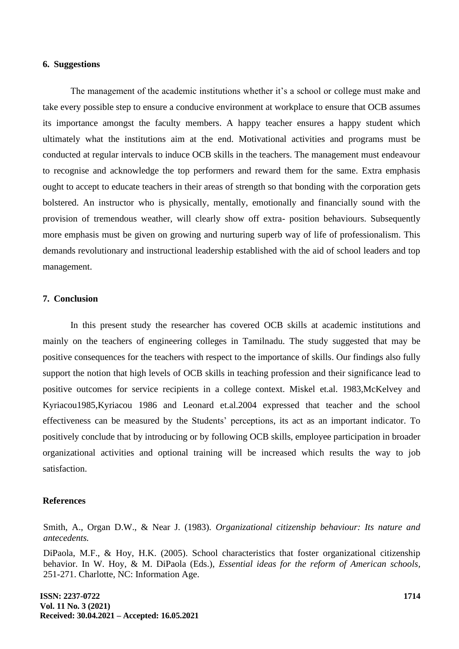## **6. Suggestions**

The management of the academic institutions whether it's a school or college must make and take every possible step to ensure a conducive environment at workplace to ensure that OCB assumes its importance amongst the faculty members. A happy teacher ensures a happy student which ultimately what the institutions aim at the end. Motivational activities and programs must be conducted at regular intervals to induce OCB skills in the teachers. The management must endeavour to recognise and acknowledge the top performers and reward them for the same. Extra emphasis ought to accept to educate teachers in their areas of strength so that bonding with the corporation gets bolstered. An instructor who is physically, mentally, emotionally and financially sound with the provision of tremendous weather, will clearly show off extra- position behaviours. Subsequently more emphasis must be given on growing and nurturing superb way of life of professionalism. This demands revolutionary and instructional leadership established with the aid of school leaders and top management.

## **7. Conclusion**

In this present study the researcher has covered OCB skills at academic institutions and mainly on the teachers of engineering colleges in Tamilnadu. The study suggested that may be positive consequences for the teachers with respect to the importance of skills. Our findings also fully support the notion that high levels of OCB skills in teaching profession and their significance lead to positive outcomes for service recipients in a college context. Miskel et.al. 1983,McKelvey and Kyriacou1985,Kyriacou 1986 and Leonard et.al.2004 expressed that teacher and the school effectiveness can be measured by the Students' perceptions, its act as an important indicator. To positively conclude that by introducing or by following OCB skills, employee participation in broader organizational activities and optional training will be increased which results the way to job satisfaction.

## **References**

Smith, A., Organ D.W., & Near J. (1983). *Organizational citizenship behaviour: Its nature and antecedents.*

DiPaola, M.F., & Hoy, H.K. (2005). School characteristics that foster organizational citizenship behavior. In W. Hoy, & M. DiPaola (Eds.), *Essential ideas for the reform of American schools,* 251-271. Charlotte, NC: Information Age.

**ISSN: 2237-0722 Vol. 11 No. 3 (2021) Received: 30.04.2021 – Accepted: 16.05.2021**